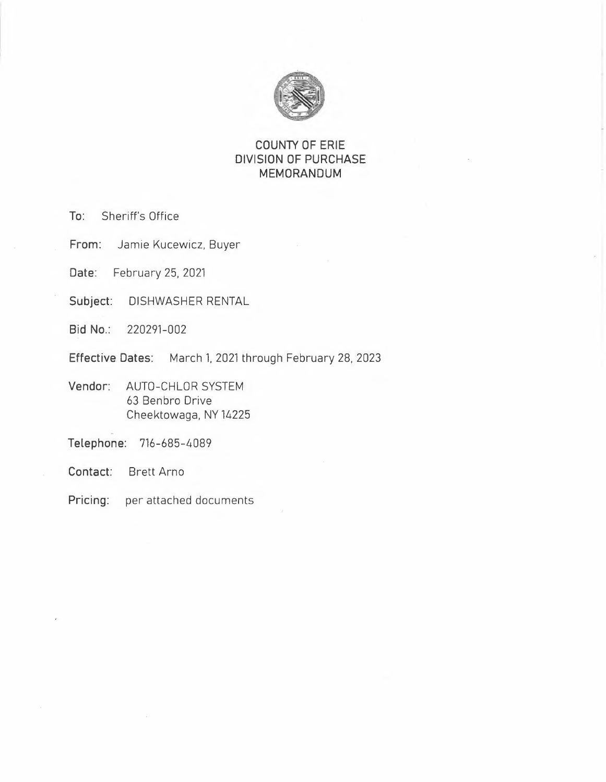

# **COUNTY OF ERIE DIVISION OF PURCHASE MEMORANDUM**

**To:** Sheriff's Office

**From:** Jamie Kucewicz, Buyer

**Date:** February 25, 2021

**Subject:** DISHWASHER RENTAL

**Bid No.:** 220291-002

**Effective Dates:** March l. 2021 through February 28, 2023

**Vendor:** AUTO-CHLOR SYSTEM 63 Benbro Drive Cheektowaga, NY 14225

**Telephone:** 716-685-4089

**Contact:** Brett Arno

**Pricing:** per attached documents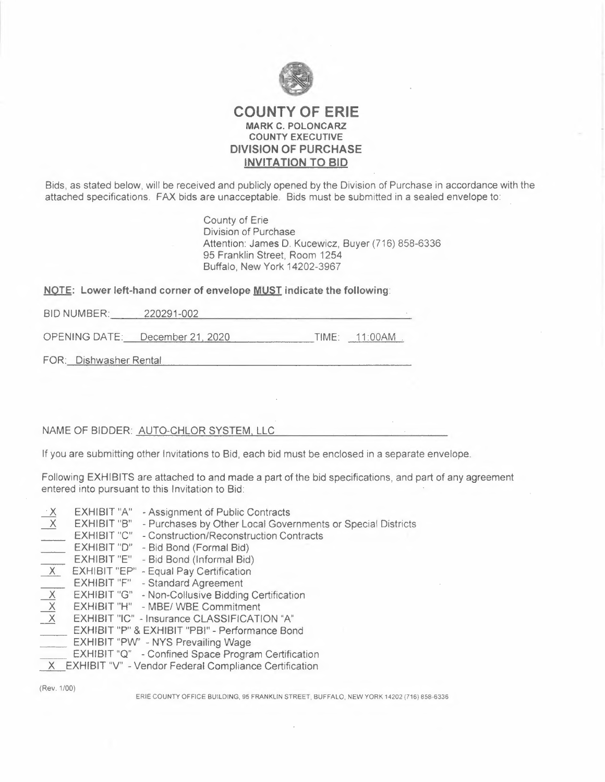

## **COUNTY OF ERIE MARK C. POLONCARZ COUNTY EXECUTIVE DIVISION OF PURCHASE INVITATION TO BID**

Bids, as stated below, will be received and publicly opened by the Division of Purchase in accordance with the attached specifications FAX bids are unacceptable. Bids must be submitted in a sealed envelope to:

> County of Erie Division of Purchase Attention: James D. Kucewicz, Buyer (716) 858-6336 95 Franklin Street, Room 1254 Buffalo, New York 14202-3967

**NOTE: Lower left-hand corner of envelope <u>MUST</u> indicate the following:<br>BID NUMBER: \_\_\_\_\_\_\_ 220291-002** 

OPENING DATE: December 21 2020 TIME: 11 :00AM

FOR: Dishwasher Rental

### NAME OF BIDDER: AUTO-CHLOR SYSTEM, LLC

If you are submitting other Invitations to Bid, each bid must be enclosed in a separate envelope.

Following EXHIBITS are attached to and made a part of the bid specifications, and part of any agreement entered into pursuant to this Invitation to Bid:

- **EXHIBIT "A"** Assignment of Public Contracts<br>X EXHIBIT "B" Purchases by Other Local Gove
- EXHIBIT "B" Purchases by Other Local Governments or Special Districts
- EXHIBIT "C" Construction/Reconstruction Contracts
- EXHIBIT "D" Bid Bond (Formal Bid)
- EXHIBIT "E" Bid Bond (Informal Bid)
- **X** EXHIBIT "EP" Equal Pay Certification
- EXHIBIT "F" Standard Agreement
- **EXHIBIT "G"** Non-Collusive Bidding Certification<br>
<u>X</u><br> **EXHIBIT "H"** MBE/WBE Commitment<br> **X**<br>
EXHIBIT "IC" Insurance CLASSIFICATION "A"
- **EXHIBIT "H" MBE/ WBE Commitment**
- **EXHIBIT "IC" Insurance CLASSIFICATION "A"**
- EXHIBIT "P" & EXHIBIT "PSI" Performance Bond
- EXHIBIT "PW' NYS Prevailing Wage
- EXHIBIT "Q" Confined Space Program Certification
- X EXHIBIT "V" Vendor Federal Compliance Certification

(Rev. 1/00)

ERIE COUNTY OFFICE BUILDING, 95 FRANKLIN STREET, BUFFALO, NEW YORK 14202 (716) 858-6336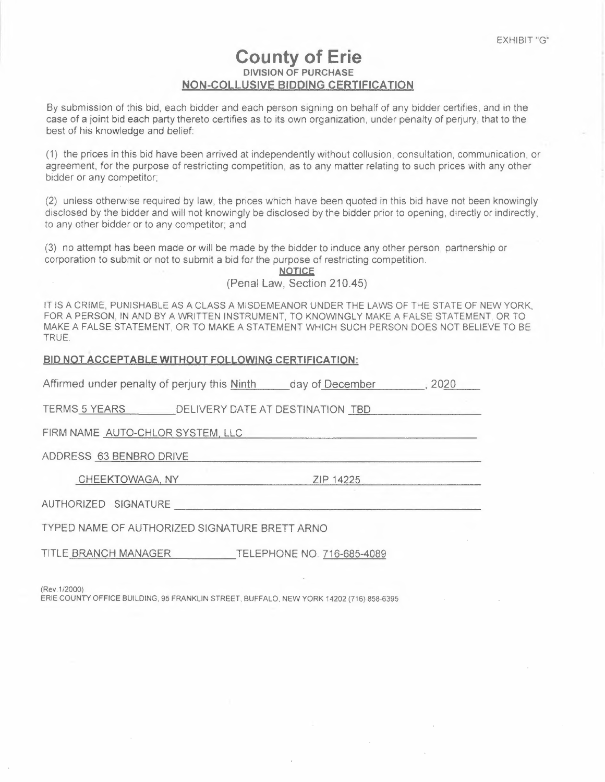# **County of Erie DIVISION OF PURCHASE NON-COLLUSIVE BIDDING CERTIFICATION**

By submission of this bid, each bidder and each person signing on behalf of any bidder certifies, and in the case of a joint bid each party thereto certifies as to its own organization, under penalty of perjury, that to the best of his knowledge and belief:

(1) the prices in this bid have been arrived at independently without collusion, consultation, communication, or agreement, for the purpose of restricting competition, as to any matter relating to such prices with any other bidder or any competitor;

(2) unless otherwise required by law, the prices which have been quoted in this bid have not been knowingly disclosed by the bidder and will not knowingly be disclosed by the bidder prior to opening, directly or indirectly, to any other bidder or to any competitor; and

(3) no attempt has been made or will be made by the bidder to induce any other person, partnership or corporation to submit or not to submit a bid for the purpose of restricting competition.

**NOTICE** 

(Penal Law, Section 210.45)

IT IS A CRIME, PUNISHABLE AS A CLASS A MISDEMEANOR UNDER THE LAWS OF THE STATE OF NEW YORK, FOR A PERSON, IN AND BY A WRITTEN INSTRUMENT, TO KNOWINGLY MAKE A FALSE STATEMENT, OR TO MAKE A FALSE STATEMENT, OR TO MAKE A STATEMENT WHICH SUCH PERSON DOES NOT BELIEVE TO BE TRUE.

#### **BID NOT ACCEPTABLE WITHOUT FOLLOWING CERTIFICATION:**

Affirmed under penalty of perjury this Ninth day of December , 2020

TERMS 5 YEARS DELIVERY DATE AT DESTINATION TBD

FIRM NAME AUTO-CHLOR SYSTEM LLC

ADDRESS 63 BENBRO DRIVE

CHEEKTOWAGA, NY ZIP 14225

AUTHORIZED SIGNATURE -----------------------

TYPED NAME OF AUTHORIZED SIGNATURE BRETT ARNO

TITLE BRANCH MANAGER TELEPHONE NO. 716-685-4089

(Rev.1 /2000)

ERIE COUNTY OFFICE BUILDING, 95 FRANKLIN STREET. BUFFALO, NEW YORK 14202 (716) 858-6395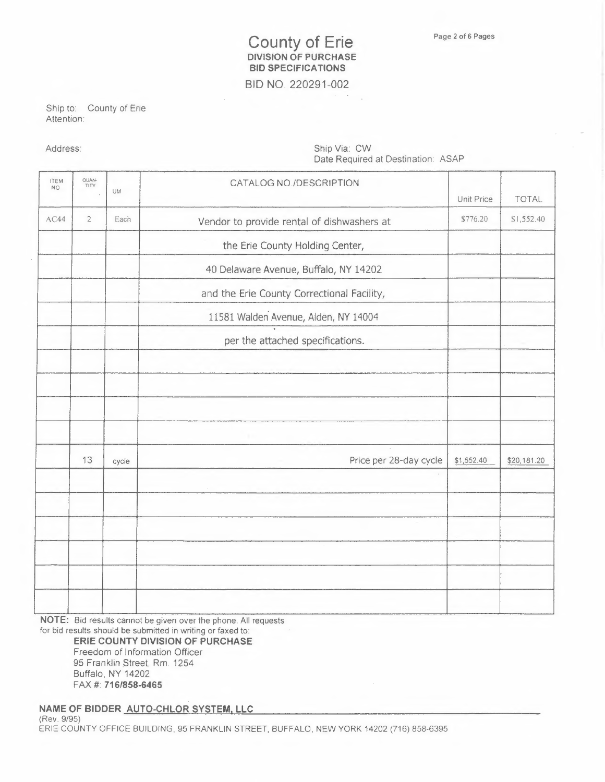# **County of Erie DIVISION OF PURCHASE BID SPECIFICATIONS**

**BID NO.** 220291-002

Ship to: County of Erie Attention:

Address: Ship Via: CW Date Required at Destination: ASAP

| <b>ITEM</b><br>NO. | QUAN<br>TITY   |           | CATALOG NO./DESCRIPTION                    |            |              |
|--------------------|----------------|-----------|--------------------------------------------|------------|--------------|
|                    |                | <b>UM</b> |                                            | Unit Price | <b>TOTAL</b> |
| AC44               | $\overline{2}$ | Each      | Vendor to provide rental of dishwashers at | \$776.20   | \$1,552.40   |
|                    |                |           | the Erie County Holding Center,            |            |              |
|                    |                |           | 40 Delaware Avenue, Buffalo, NY 14202      |            |              |
|                    |                |           | and the Erie County Correctional Facility, |            |              |
|                    |                |           | 11581 Walden Avenue, Alden, NY 14004       |            |              |
|                    |                |           | per the attached specifications.           |            |              |
|                    |                |           |                                            |            |              |
|                    |                |           |                                            |            |              |
|                    |                |           |                                            |            |              |
|                    |                |           |                                            |            |              |
|                    | 13             | cycle     | Price per 28-day cycle                     | \$1,552.40 | \$20,181.20  |
|                    |                |           |                                            |            |              |
|                    |                |           |                                            |            |              |
|                    |                |           |                                            |            |              |
|                    |                |           |                                            |            |              |
|                    |                |           |                                            |            |              |
|                    |                |           |                                            |            |              |

**NOTE:** Bid results cannot be given over the phone. All requests

for bid results should be submitted in writing or faxed to: **ERIE COUNTY DIVISION OF PURCHASE** 

Freedom of Information Officer 95 Franklin Street, Rm 1254 Buffalo, NY 14202 FAX# **716/858-6465** 

**NAME OF BIDDER AUTO-CHLOR SYSTEM, LLC** (Rev. 9/95) ERIE COUNTY OFFICE BUILDING, 95 FRANKLIN STREET, BUFFALO, NEW YORK 14202 (716) 858-6395